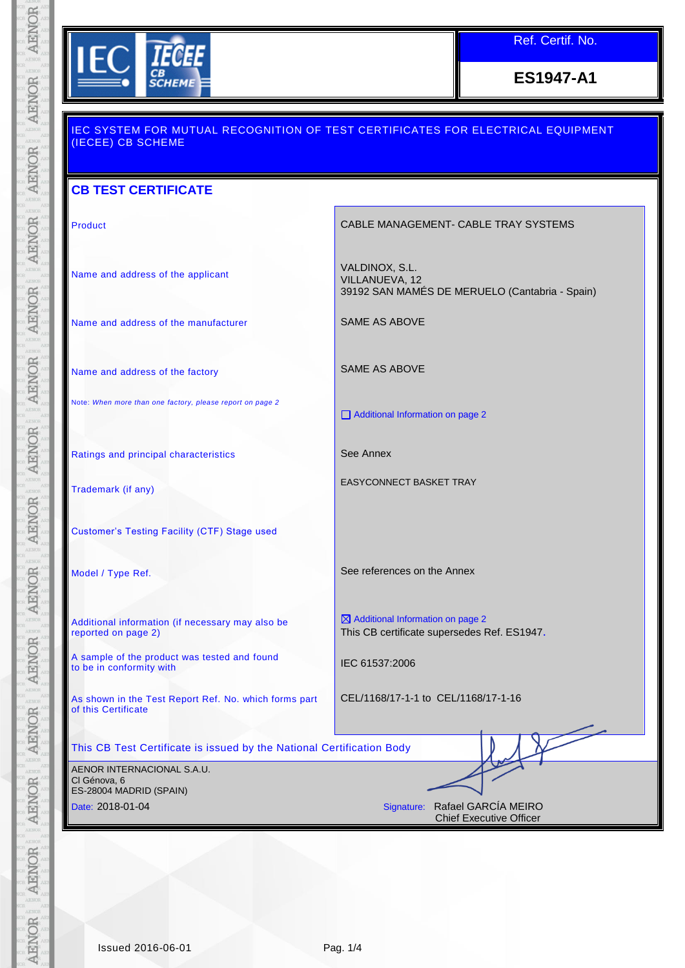

Ref. Certif. No.

**ES1947-A1**

| (IECEE) CB SCHEME                                                            | <u>IEC SYSTEM FOR MUTUAL RECOGNITION OF TEST CERTIFICATES FOR ELECTRICAL EQUIPMENT</u>      |  |  |  |
|------------------------------------------------------------------------------|---------------------------------------------------------------------------------------------|--|--|--|
| <b>CB TEST CERTIFICATE</b>                                                   |                                                                                             |  |  |  |
| <b>Product</b>                                                               | CABLE MANAGEMENT- CABLE TRAY SYSTEMS                                                        |  |  |  |
| Name and address of the applicant                                            | VALDINOX, S.L.<br>VILLANUEVA, 12<br>39192 SAN MAMÉS DE MERUELO (Cantabria - Spain)          |  |  |  |
| Name and address of the manufacturer                                         | <b>SAME AS ABOVE</b>                                                                        |  |  |  |
| Name and address of the factory                                              | SAME AS ABOVE                                                                               |  |  |  |
| Note: When more than one factory, please report on page 2                    | Additional Information on page 2                                                            |  |  |  |
| Ratings and principal characteristics                                        | See Annex                                                                                   |  |  |  |
| Trademark (if any)                                                           | <b>EASYCONNECT BASKET TRAY</b>                                                              |  |  |  |
| <b>Customer's Testing Facility (CTF) Stage used</b>                          |                                                                                             |  |  |  |
| Model / Type Ref.                                                            | See references on the Annex                                                                 |  |  |  |
| Additional information (if necessary may also be<br>reported on page 2)      | $\boxtimes$ Additional Information on page 2<br>This CB certificate supersedes Ref. ES1947. |  |  |  |
| A sample of the product was tested and found<br>to be in conformity with     | IEC 61537:2006                                                                              |  |  |  |
| As shown in the Test Report Ref. No. which forms part<br>of this Certificate | CEL/1168/17-1-1 to CEL/1168/17-1-16                                                         |  |  |  |
| This CB Test Certificate is issued by the National Certification Body        |                                                                                             |  |  |  |
| AENOR INTERNACIONAL S.A.U.<br>Cl Génova, 6<br>ES-28004 MADRID (SPAIN)        |                                                                                             |  |  |  |
| Date: 2018-01-04                                                             | Signature: Rafael GARCÍA MEIRO<br><b>Chief Executive Officer</b>                            |  |  |  |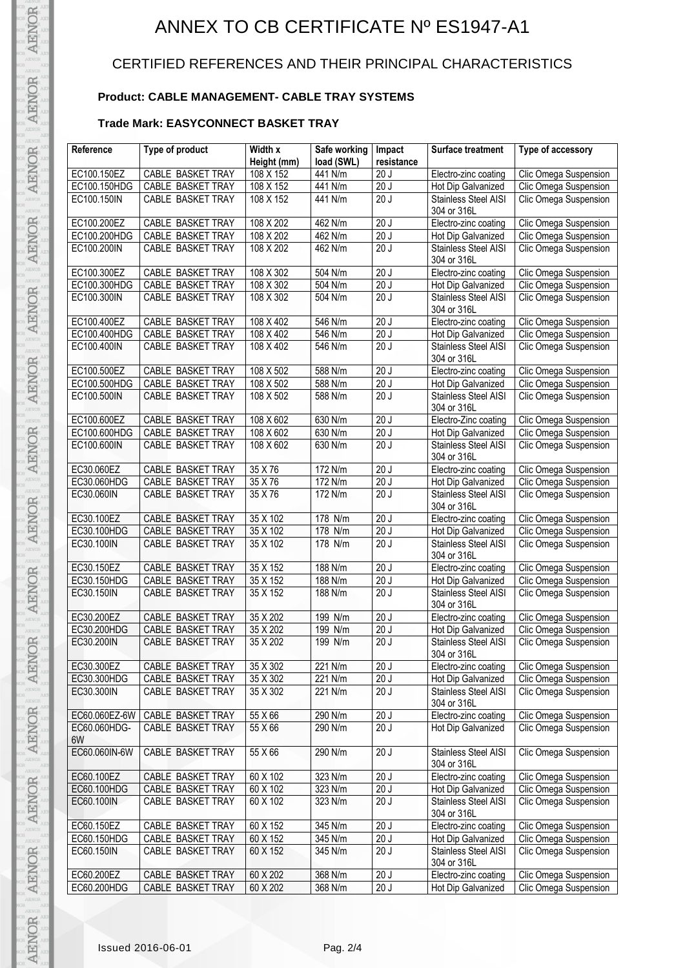# ANNEX TO CB CERTIFICATE Nº ES1947-A1

## CERTIFIED REFERENCES AND THEIR PRINCIPAL CHARACTERISTICS

### **Product: CABLE MANAGEMENT- CABLE TRAY SYSTEMS**

### **Trade Mark: EASYCONNECT BASKET TRAY**

| Reference     | Type of product          | Width x         | Safe working |                   | <b>Surface treatment</b>    | Type of accessory     |
|---------------|--------------------------|-----------------|--------------|-------------------|-----------------------------|-----------------------|
|               |                          |                 |              | Impact            |                             |                       |
|               |                          | Height (mm)     | load (SWL)   | resistance        |                             |                       |
| EC100.150EZ   | CABLE BASKET TRAY        | 108 X 152       | 441 N/m      | 20J               | Electro-zinc coating        | Clic Omega Suspension |
| EC100.150HDG  | CABLE BASKET TRAY        | 108 X 152       | 441 N/m      | 20J               | Hot Dip Galvanized          | Clic Omega Suspension |
| EC100.150IN   | CABLE BASKET TRAY        | 108 X 152       | 441 N/m      | 20J               | Stainless Steel AISI        | Clic Omega Suspension |
|               |                          |                 |              |                   | 304 or 316L                 |                       |
| EC100.200EZ   | CABLE BASKET TRAY        | 108 X 202       | 462 N/m      | 20J               | Electro-zinc coating        | Clic Omega Suspension |
| EC100.200HDG  | CABLE BASKET TRAY        | 108 X 202       | 462 N/m      | 20J               | Hot Dip Galvanized          | Clic Omega Suspension |
| EC100.200IN   | CABLE BASKET TRAY        | 108 X 202       | 462 N/m      | 20J               | <b>Stainless Steel AISI</b> | Clic Omega Suspension |
|               |                          |                 |              |                   | 304 or 316L                 |                       |
| EC100.300EZ   | CABLE BASKET TRAY        | 108 X 302       | 504 N/m      | 20J               | Electro-zinc coating        | Clic Omega Suspension |
| EC100.300HDG  | <b>CABLE BASKET TRAY</b> | 108 X 302       | 504 N/m      | 20J               | Hot Dip Galvanized          | Clic Omega Suspension |
| EC100.300IN   | CABLE BASKET TRAY        | 108 X 302       | 504 N/m      | 20J               | <b>Stainless Steel AISI</b> | Clic Omega Suspension |
|               |                          |                 |              |                   | 304 or 316L                 |                       |
| EC100.400EZ   | CABLE BASKET TRAY        | 108 X 402       | 546 N/m      | $\overline{20}$ J | Electro-zinc coating        | Clic Omega Suspension |
| EC100.400HDG  | <b>CABLE BASKET TRAY</b> | 108 X 402       | 546 N/m      | 20J               | Hot Dip Galvanized          | Clic Omega Suspension |
| EC100.400IN   | CABLE BASKET TRAY        | 108 X 402       | 546 N/m      | 20J               | <b>Stainless Steel AISI</b> | Clic Omega Suspension |
|               |                          |                 |              |                   | 304 or 316L                 |                       |
| EC100.500EZ   | CABLE BASKET TRAY        | 108 X 502       | 588 N/m      | 20J               | Electro-zinc coating        | Clic Omega Suspension |
| EC100.500HDG  | CABLE BASKET TRAY        | 108 X 502       | 588 N/m      | 20J               | Hot Dip Galvanized          | Clic Omega Suspension |
| EC100.500IN   | CABLE BASKET TRAY        | 108 X 502       | 588 N/m      | 20J               | Stainless Steel AISI        | Clic Omega Suspension |
|               |                          |                 |              |                   | 304 or 316L                 |                       |
| EC100.600EZ   | CABLE BASKET TRAY        | 108 X 602       | 630 N/m      | 20J               | Electro-Zinc coating        | Clic Omega Suspension |
| EC100.600HDG  | CABLE BASKET TRAY        | 108 X 602       | 630 N/m      | 20J               | Hot Dip Galvanized          | Clic Omega Suspension |
| EC100.600IN   | <b>CABLE BASKET TRAY</b> | 108 X 602       | 630 N/m      | 20J               | <b>Stainless Steel AISI</b> | Clic Omega Suspension |
|               |                          |                 |              |                   | 304 or 316L                 |                       |
| EC30.060EZ    | CABLE BASKET TRAY        | 35 X 76         | 172 N/m      | 20J               | Electro-zinc coating        | Clic Omega Suspension |
| EC30.060HDG   | CABLE BASKET TRAY        | 35 X 76         | 172 N/m      | 20J               | Hot Dip Galvanized          | Clic Omega Suspension |
| EC30.060IN    | CABLE BASKET TRAY        | 35 X 76         | 172 N/m      | 20J               | Stainless Steel AISI        | Clic Omega Suspension |
|               |                          |                 |              |                   | 304 or 316L                 |                       |
| EC30.100EZ    | CABLE BASKET TRAY        | 35 X 102        | 178 N/m      | 20J               | Electro-zinc coating        | Clic Omega Suspension |
| EC30.100HDG   | CABLE BASKET TRAY        | 35 X 102        | 178 N/m      | 20J               | Hot Dip Galvanized          | Clic Omega Suspension |
| EC30.100IN    | CABLE BASKET TRAY        | 35 X 102        | 178 N/m      | $\overline{20J}$  | <b>Stainless Steel AISI</b> | Clic Omega Suspension |
|               |                          |                 |              |                   | 304 or 316L                 |                       |
| EC30.150EZ    | CABLE BASKET TRAY        | 35 X 152        | 188 N/m      | 20J               | Electro-zinc coating        | Clic Omega Suspension |
| EC30.150HDG   | CABLE BASKET TRAY        | 35 X 152        | 188 N/m      | 20J               | Hot Dip Galvanized          | Clic Omega Suspension |
| EC30.150IN    | CABLE BASKET TRAY        | 35 X 152        | 188 N/m      | 20J               | Stainless Steel AISI        | Clic Omega Suspension |
|               |                          |                 |              |                   | 304 or 316L                 |                       |
| EC30.200EZ    | CABLE BASKET TRAY        | 35 X 202        | 199 N/m      | 20J               | Electro-zinc coating        | Clic Omega Suspension |
| EC30.200HDG   | CABLE BASKET TRAY        | 35 X 202        | 199 N/m      | 20J               | Hot Dip Galvanized          | Clic Omega Suspension |
| EC30.200IN    | CABLE BASKET TRAY        | $35 \times 202$ | 199 N/m      | 20J               | Stainless Steel AISI        | Clic Omega Suspension |
|               |                          |                 |              |                   | 304 or 316L                 |                       |
| EC30.300EZ    | CABLE BASKET TRAY        | 35 X 302        | 221 N/m      | 20J               | Electro-zinc coating        | Clic Omega Suspension |
| EC30.300HDG   | CABLE BASKET TRAY        | 35 X 302        | 221 N/m      | 20J               | Hot Dip Galvanized          | Clic Omega Suspension |
| EC30.300IN    | CABLE BASKET TRAY        | 35 X 302        | 221 N/m      | 20J               | Stainless Steel AISI        | Clic Omega Suspension |
|               |                          |                 |              |                   | 304 or 316L                 |                       |
| EC60.060EZ-6W | CABLE BASKET TRAY        | 55 X 66         | 290 N/m      | 20J               | Electro-zinc coating        | Clic Omega Suspension |
| EC60.060HDG-  | <b>CABLE BASKET TRAY</b> | 55 X 66         | 290 N/m      | 20J               | Hot Dip Galvanized          | Clic Omega Suspension |
| 6W            |                          |                 |              |                   |                             |                       |
| EC60.060IN-6W | <b>CABLE BASKET TRAY</b> | 55 X 66         | 290 N/m      | 20J               | <b>Stainless Steel AISI</b> | Clic Omega Suspension |
|               |                          |                 |              |                   | 304 or 316L                 |                       |
| EC60.100EZ    | CABLE BASKET TRAY        | 60 X 102        | 323 N/m      | 20J               | Electro-zinc coating        | Clic Omega Suspension |
| EC60.100HDG   | CABLE BASKET TRAY        | 60 X 102        | 323 N/m      | 20J               | Hot Dip Galvanized          | Clic Omega Suspension |
| EC60.100IN    | CABLE BASKET TRAY        | 60 X 102        | 323 N/m      | 20J               | Stainless Steel AISI        | Clic Omega Suspension |
|               |                          |                 |              |                   | 304 or 316L                 |                       |
| EC60.150EZ    | CABLE BASKET TRAY        | 60 X 152        | 345 N/m      | 20J               | Electro-zinc coating        | Clic Omega Suspension |
| EC60.150HDG   | CABLE BASKET TRAY        | 60 X 152        | 345 N/m      | 20J               | Hot Dip Galvanized          | Clic Omega Suspension |
| EC60.150IN    | <b>CABLE BASKET TRAY</b> | 60 X 152        | 345 N/m      | 20J               | Stainless Steel AISI        | Clic Omega Suspension |
|               |                          |                 |              |                   | 304 or 316L                 |                       |
| EC60.200EZ    | CABLE BASKET TRAY        | 60 X 202        | 368 N/m      | 20J               | Electro-zinc coating        | Clic Omega Suspension |
| EC60.200HDG   | CABLE BASKET TRAY        | 60 X 202        | 368 N/m      | 20J               | Hot Dip Galvanized          | Clic Omega Suspension |
|               |                          |                 |              |                   |                             |                       |

AENOR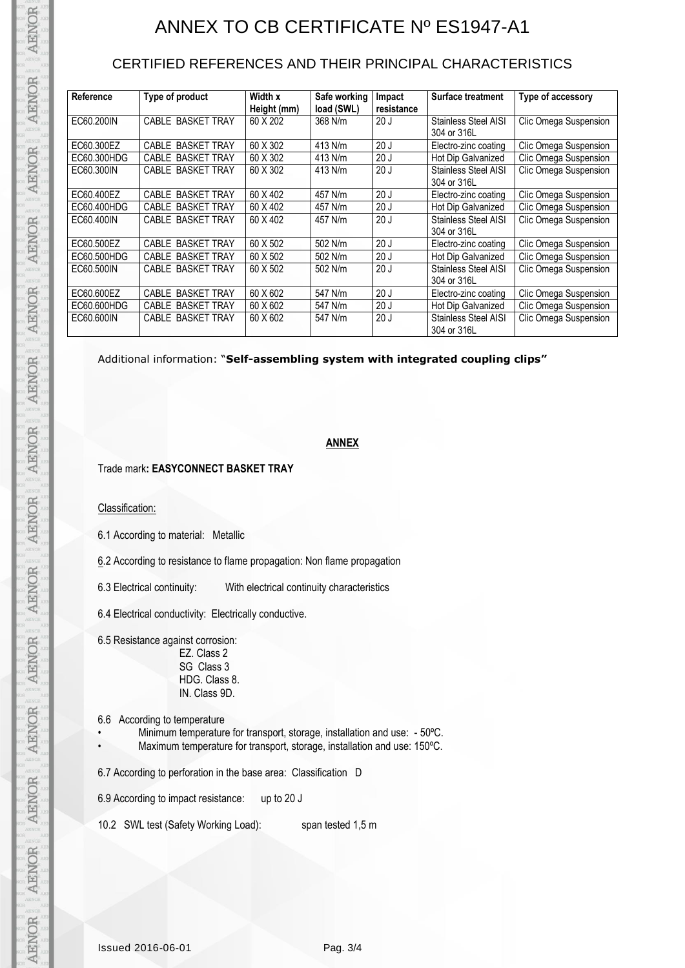## ANNEX TO CB CERTIFICATE Nº ES1947-A1

## CERTIFIED REFERENCES AND THEIR PRINCIPAL CHARACTERISTICS

| Reference   | Type of product          | Width x<br>Height (mm) | Safe working<br>load (SWL) | Impact<br>resistance | <b>Surface treatment</b>                   | Type of accessory     |
|-------------|--------------------------|------------------------|----------------------------|----------------------|--------------------------------------------|-----------------------|
| EC60.200IN  | CABLE BASKET TRAY        | 60 X 202               | 368 N/m                    | 20J                  | <b>Stainless Steel AISI</b><br>304 or 316L | Clic Omega Suspension |
| EC60.300EZ  | CABLE BASKET TRAY        | 60 X 302               | 413 N/m                    | 20J                  | Electro-zinc coating                       | Clic Omega Suspension |
| EC60.300HDG | <b>CABLE BASKET TRAY</b> | 60 X 302               | 413 N/m                    | 20J                  | Hot Dip Galvanized                         | Clic Omega Suspension |
| EC60.300IN  | CABLE BASKET TRAY        | 60 X 302               | 413 N/m                    | 20J                  | Stainless Steel AISI<br>304 or 316L        | Clic Omega Suspension |
| EC60.400EZ  | CABLE BASKET TRAY        | 60 X 402               | 457 N/m                    | 20J                  | Electro-zinc coating                       | Clic Omega Suspension |
| EC60.400HDG | CABLE BASKET TRAY        | 60 X 402               | 457 N/m                    | 20J                  | Hot Dip Galvanized                         | Clic Omega Suspension |
| EC60.400IN  | CABLE BASKET TRAY        | 60 X 402               | 457 N/m                    | 20J                  | <b>Stainless Steel AISI</b><br>304 or 316L | Clic Omega Suspension |
| EC60.500EZ  | <b>CABLE BASKET TRAY</b> | 60 X 502               | 502 N/m                    | 20J                  | Electro-zinc coating                       | Clic Omega Suspension |
| EC60.500HDG | CABLE BASKET TRAY        | 60 X 502               | 502 N/m                    | 20J                  | Hot Dip Galvanized                         | Clic Omega Suspension |
| EC60.500IN  | CABLE BASKET TRAY        | 60 X 502               | 502 N/m                    | 20J                  | <b>Stainless Steel AISI</b><br>304 or 316L | Clic Omega Suspension |
| EC60.600EZ  | <b>CABLE BASKET TRAY</b> | 60 X 602               | 547 N/m                    | 20J                  | Electro-zinc coating                       | Clic Omega Suspension |
| EC60.600HDG | CABLE BASKET TRAY        | 60 X 602               | 547 N/m                    | 20J                  | Hot Dip Galvanized                         | Clic Omega Suspension |
| EC60.600IN  | CABLE BASKET TRAY        | 60 X 602               | 547 N/m                    | 20J                  | <b>Stainless Steel AISI</b><br>304 or 316L | Clic Omega Suspension |

Additional information: "**Self-assembling system with integrated coupling clips"**

#### **ANNEX**

#### Trade mark**: EASYCONNECT BASKET TRAY**

#### Classification:

AENOR

**AENOR** 

AENOR

**AENOR** 

AENOR

AENOR

AENOR

AENOR

**AENOR** 

AENOR

AENOR

**AENOR** 

AENOR

**AENOR** 

6.1 According to material: Metallic

6.2 According to resistance to flame propagation: Non flame propagation

6.3 Electrical continuity: With electrical continuity characteristics

6.4 Electrical conductivity: Electrically conductive.

6.5 Resistance against corrosion:

EZ. Class 2 SG Class 3 HDG. Class 8. IN. Class 9D.

- 6.6 According to temperature
	- Minimum temperature for transport, storage, installation and use: 50ºC.
		- Maximum temperature for transport, storage, installation and use: 150°C.

6.7 According to perforation in the base area: Classification D

6.9 According to impact resistance: up to 20 J

10.2 SWL test (Safety Working Load): span tested 1,5 m